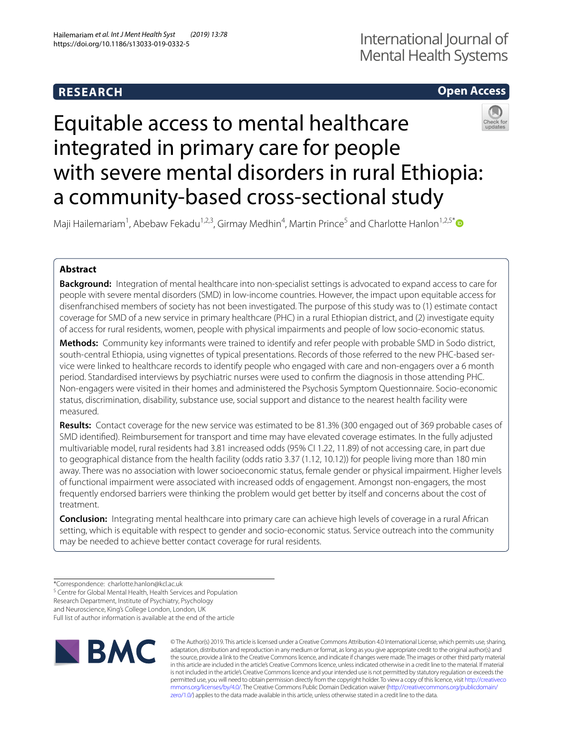# **RESEARCH**

# **Open Access**



# Equitable access to mental healthcare integrated in primary care for people with severe mental disorders in rural Ethiopia: a community-based cross-sectional study

Maji Hailemariam<sup>1</sup>, Abebaw Fekadu<sup>1,2,3</sup>, Girmay Medhin<sup>4</sup>, Martin Prince<sup>5</sup> and Charlotte Hanlon<sup>1,2,5[\\*](http://orcid.org/0000-0002-7937-3226)</sup>

## **Abstract**

**Background:** Integration of mental healthcare into non-specialist settings is advocated to expand access to care for people with severe mental disorders (SMD) in low-income countries. However, the impact upon equitable access for disenfranchised members of society has not been investigated. The purpose of this study was to (1) estimate contact coverage for SMD of a new service in primary healthcare (PHC) in a rural Ethiopian district, and (2) investigate equity of access for rural residents, women, people with physical impairments and people of low socio-economic status.

**Methods:** Community key informants were trained to identify and refer people with probable SMD in Sodo district, south-central Ethiopia, using vignettes of typical presentations. Records of those referred to the new PHC-based service were linked to healthcare records to identify people who engaged with care and non-engagers over a 6 month period. Standardised interviews by psychiatric nurses were used to confrm the diagnosis in those attending PHC. Non-engagers were visited in their homes and administered the Psychosis Symptom Questionnaire. Socio-economic status, discrimination, disability, substance use, social support and distance to the nearest health facility were measured.

**Results:** Contact coverage for the new service was estimated to be 81.3% (300 engaged out of 369 probable cases of SMD identifed). Reimbursement for transport and time may have elevated coverage estimates. In the fully adjusted multivariable model, rural residents had 3.81 increased odds (95% CI 1.22, 11.89) of not accessing care, in part due to geographical distance from the health facility (odds ratio 3.37 (1.12, 10.12)) for people living more than 180 min away. There was no association with lower socioeconomic status, female gender or physical impairment. Higher levels of functional impairment were associated with increased odds of engagement. Amongst non-engagers, the most frequently endorsed barriers were thinking the problem would get better by itself and concerns about the cost of treatment.

**Conclusion:** Integrating mental healthcare into primary care can achieve high levels of coverage in a rural African setting, which is equitable with respect to gender and socio-economic status. Service outreach into the community may be needed to achieve better contact coverage for rural residents.

<sup>5</sup> Centre for Global Mental Health, Health Services and Population

Research Department, Institute of Psychiatry, Psychology

and Neuroscience, King's College London, London, UK

Full list of author information is available at the end of the article



© The Author(s) 2019. This article is licensed under a Creative Commons Attribution 4.0 International License, which permits use, sharing, adaptation, distribution and reproduction in any medium or format, as long as you give appropriate credit to the original author(s) and the source, provide a link to the Creative Commons licence, and indicate if changes were made. The images or other third party material in this article are included in the article's Creative Commons licence, unless indicated otherwise in a credit line to the material. If material is not included in the article's Creative Commons licence and your intended use is not permitted by statutory regulation or exceeds the permitted use, you will need to obtain permission directly from the copyright holder. To view a copy of this licence, visit [http://creativeco](http://creativecommons.org/licenses/by/4.0/) [mmons.org/licenses/by/4.0/.](http://creativecommons.org/licenses/by/4.0/) The Creative Commons Public Domain Dedication waiver ([http://creativecommons.org/publicdomain/](http://creativecommons.org/publicdomain/zero/1.0/) [zero/1.0/\)](http://creativecommons.org/publicdomain/zero/1.0/) applies to the data made available in this article, unless otherwise stated in a credit line to the data.

<sup>\*</sup>Correspondence: charlotte.hanlon@kcl.ac.uk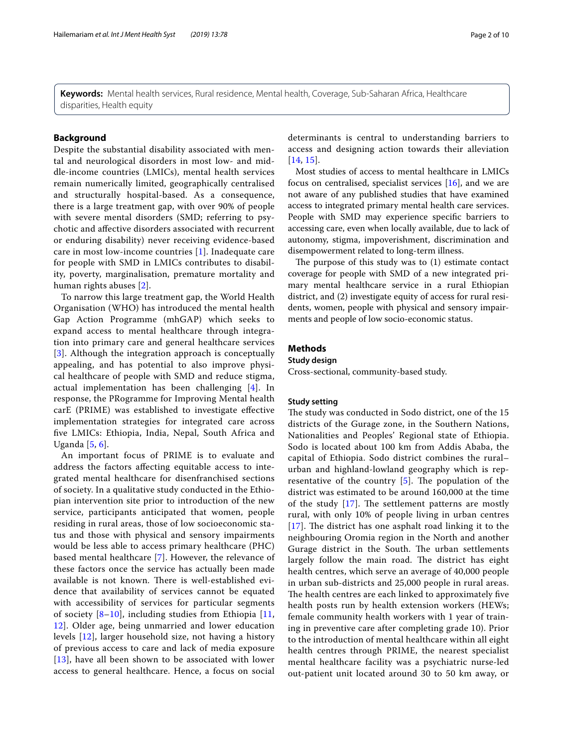**Keywords:** Mental health services, Rural residence, Mental health, Coverage, Sub-Saharan Africa, Healthcare disparities, Health equity

#### **Background**

Despite the substantial disability associated with mental and neurological disorders in most low- and middle-income countries (LMICs), mental health services remain numerically limited, geographically centralised and structurally hospital-based. As a consequence, there is a large treatment gap, with over 90% of people with severe mental disorders (SMD; referring to psychotic and afective disorders associated with recurrent or enduring disability) never receiving evidence-based care in most low-income countries [[1\]](#page-9-0). Inadequate care for people with SMD in LMICs contributes to disability, poverty, marginalisation, premature mortality and human rights abuses [\[2](#page-9-1)].

To narrow this large treatment gap, the World Health Organisation (WHO) has introduced the mental health Gap Action Programme (mhGAP) which seeks to expand access to mental healthcare through integration into primary care and general healthcare services [[3](#page-9-2)]. Although the integration approach is conceptually appealing, and has potential to also improve physical healthcare of people with SMD and reduce stigma, actual implementation has been challenging [[4](#page-9-3)]. In response, the PRogramme for Improving Mental health carE (PRIME) was established to investigate efective implementation strategies for integrated care across fve LMICs: Ethiopia, India, Nepal, South Africa and Uganda [[5,](#page-9-4) [6\]](#page-9-5).

An important focus of PRIME is to evaluate and address the factors afecting equitable access to integrated mental healthcare for disenfranchised sections of society. In a qualitative study conducted in the Ethiopian intervention site prior to introduction of the new service, participants anticipated that women, people residing in rural areas, those of low socioeconomic status and those with physical and sensory impairments would be less able to access primary healthcare (PHC) based mental healthcare [[7\]](#page-9-6). However, the relevance of these factors once the service has actually been made available is not known. There is well-established evidence that availability of services cannot be equated with accessibility of services for particular segments of society  $[8-10]$  $[8-10]$  $[8-10]$  $[8-10]$  $[8-10]$ , including studies from Ethiopia  $[11, 1]$  $[11, 1]$ [12\]](#page-9-10). Older age, being unmarried and lower education levels [[12](#page-9-10)], larger household size, not having a history of previous access to care and lack of media exposure [[13](#page-9-11)], have all been shown to be associated with lower access to general healthcare. Hence, a focus on social

determinants is central to understanding barriers to access and designing action towards their alleviation [[14](#page-9-12), [15](#page-9-13)].

Most studies of access to mental healthcare in LMICs focus on centralised, specialist services [\[16\]](#page-9-14), and we are not aware of any published studies that have examined access to integrated primary mental health care services. People with SMD may experience specifc barriers to accessing care, even when locally available, due to lack of autonomy, stigma, impoverishment, discrimination and disempowerment related to long-term illness.

The purpose of this study was to  $(1)$  estimate contact coverage for people with SMD of a new integrated primary mental healthcare service in a rural Ethiopian district, and (2) investigate equity of access for rural residents, women, people with physical and sensory impairments and people of low socio-economic status.

#### **Methods**

#### **Study design**

Cross-sectional, community-based study.

#### **Study setting**

The study was conducted in Sodo district, one of the 15 districts of the Gurage zone, in the Southern Nations, Nationalities and Peoples' Regional state of Ethiopia. Sodo is located about 100 km from Addis Ababa, the capital of Ethiopia. Sodo district combines the rural– urban and highland-lowland geography which is representative of the country  $[5]$  $[5]$ . The population of the district was estimated to be around 160,000 at the time of the study  $[17]$ . The settlement patterns are mostly rural, with only 10% of people living in urban centres [[17](#page-9-15)]. The district has one asphalt road linking it to the neighbouring Oromia region in the North and another Gurage district in the South. The urban settlements largely follow the main road. The district has eight health centres, which serve an average of 40,000 people in urban sub-districts and 25,000 people in rural areas. The health centres are each linked to approximately five health posts run by health extension workers (HEWs; female community health workers with 1 year of training in preventive care after completing grade 10). Prior to the introduction of mental healthcare within all eight health centres through PRIME, the nearest specialist mental healthcare facility was a psychiatric nurse-led out-patient unit located around 30 to 50 km away, or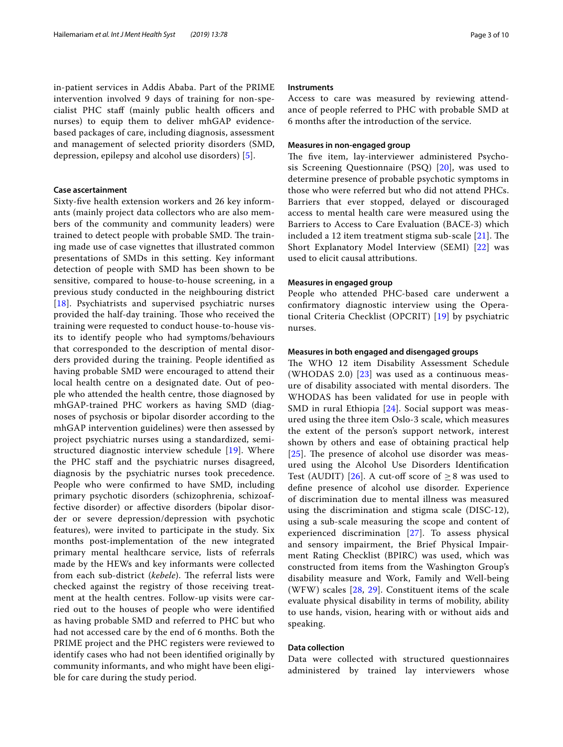in-patient services in Addis Ababa. Part of the PRIME intervention involved 9 days of training for non-specialist PHC staff (mainly public health officers and nurses) to equip them to deliver mhGAP evidencebased packages of care, including diagnosis, assessment and management of selected priority disorders (SMD, depression, epilepsy and alcohol use disorders) [[5\]](#page-9-4).

#### **Case ascertainment**

Sixty-fve health extension workers and 26 key informants (mainly project data collectors who are also members of the community and community leaders) were trained to detect people with probable SMD. The training made use of case vignettes that illustrated common presentations of SMDs in this setting. Key informant detection of people with SMD has been shown to be sensitive, compared to house-to-house screening, in a previous study conducted in the neighbouring district [[18](#page-9-16)]. Psychiatrists and supervised psychiatric nurses provided the half-day training. Those who received the training were requested to conduct house-to-house visits to identify people who had symptoms/behaviours that corresponded to the description of mental disorders provided during the training. People identifed as having probable SMD were encouraged to attend their local health centre on a designated date. Out of people who attended the health centre, those diagnosed by mhGAP-trained PHC workers as having SMD (diagnoses of psychosis or bipolar disorder according to the mhGAP intervention guidelines) were then assessed by project psychiatric nurses using a standardized, semistructured diagnostic interview schedule [[19\]](#page-9-17). Where the PHC staf and the psychiatric nurses disagreed, diagnosis by the psychiatric nurses took precedence. People who were confrmed to have SMD, including primary psychotic disorders (schizophrenia, schizoaffective disorder) or afective disorders (bipolar disorder or severe depression/depression with psychotic features), were invited to participate in the study. Six months post-implementation of the new integrated primary mental healthcare service, lists of referrals made by the HEWs and key informants were collected from each sub-district (kebele). The referral lists were checked against the registry of those receiving treatment at the health centres. Follow-up visits were carried out to the houses of people who were identifed as having probable SMD and referred to PHC but who had not accessed care by the end of 6 months. Both the PRIME project and the PHC registers were reviewed to identify cases who had not been identifed originally by community informants, and who might have been eligible for care during the study period.

#### **Instruments**

Access to care was measured by reviewing attendance of people referred to PHC with probable SMD at 6 months after the introduction of the service.

#### **Measures in non‑engaged group**

The five item, lay-interviewer administered Psychosis Screening Questionnaire (PSQ) [[20](#page-9-18)], was used to determine presence of probable psychotic symptoms in those who were referred but who did not attend PHCs. Barriers that ever stopped, delayed or discouraged access to mental health care were measured using the Barriers to Access to Care Evaluation (BACE-3) which included a 12 item treatment stigma sub-scale  $[21]$  $[21]$ . The Short Explanatory Model Interview (SEMI) [[22\]](#page-9-20) was used to elicit causal attributions.

#### **Measures in engaged group**

People who attended PHC-based care underwent a confrmatory diagnostic interview using the Operational Criteria Checklist (OPCRIT) [\[19\]](#page-9-17) by psychiatric nurses.

#### **Measures in both engaged and disengaged groups**

The WHO 12 item Disability Assessment Schedule (WHODAS 2.0)  $[23]$  $[23]$  was used as a continuous measure of disability associated with mental disorders. The WHODAS has been validated for use in people with SMD in rural Ethiopia [[24\]](#page-9-22). Social support was measured using the three item Oslo-3 scale, which measures the extent of the person's support network, interest shown by others and ease of obtaining practical help  $[25]$  $[25]$  $[25]$ . The presence of alcohol use disorder was measured using the Alcohol Use Disorders Identifcation Test (AUDIT) [\[26](#page-9-24)]. A cut-off score of  $\geq 8$  was used to defne presence of alcohol use disorder. Experience of discrimination due to mental illness was measured using the discrimination and stigma scale (DISC-12), using a sub-scale measuring the scope and content of experienced discrimination [[27\]](#page-9-25). To assess physical and sensory impairment, the Brief Physical Impairment Rating Checklist (BPIRC) was used, which was constructed from items from the Washington Group's disability measure and Work, Family and Well-being (WFW) scales [\[28](#page-9-26), [29](#page-9-27)]. Constituent items of the scale evaluate physical disability in terms of mobility, ability to use hands, vision, hearing with or without aids and speaking.

#### **Data collection**

Data were collected with structured questionnaires administered by trained lay interviewers whose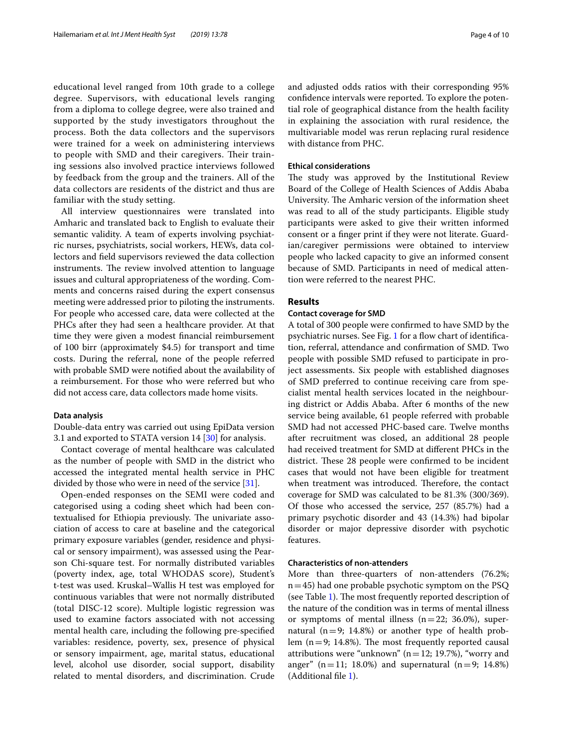educational level ranged from 10th grade to a college degree. Supervisors, with educational levels ranging from a diploma to college degree, were also trained and supported by the study investigators throughout the process. Both the data collectors and the supervisors were trained for a week on administering interviews to people with SMD and their caregivers. Their training sessions also involved practice interviews followed by feedback from the group and the trainers. All of the data collectors are residents of the district and thus are familiar with the study setting.

All interview questionnaires were translated into Amharic and translated back to English to evaluate their semantic validity. A team of experts involving psychiatric nurses, psychiatrists, social workers, HEWs, data collectors and feld supervisors reviewed the data collection instruments. The review involved attention to language issues and cultural appropriateness of the wording. Comments and concerns raised during the expert consensus meeting were addressed prior to piloting the instruments. For people who accessed care, data were collected at the PHCs after they had seen a healthcare provider. At that time they were given a modest fnancial reimbursement of 100 birr (approximately \$4.5) for transport and time costs. During the referral, none of the people referred with probable SMD were notifed about the availability of a reimbursement. For those who were referred but who did not access care, data collectors made home visits.

#### **Data analysis**

Double-data entry was carried out using EpiData version 3.1 and exported to STATA version 14 [[30\]](#page-9-28) for analysis.

Contact coverage of mental healthcare was calculated as the number of people with SMD in the district who accessed the integrated mental health service in PHC divided by those who were in need of the service [[31](#page-9-29)].

Open-ended responses on the SEMI were coded and categorised using a coding sheet which had been contextualised for Ethiopia previously. The univariate association of access to care at baseline and the categorical primary exposure variables (gender, residence and physical or sensory impairment), was assessed using the Pearson Chi-square test. For normally distributed variables (poverty index, age, total WHODAS score), Student's t-test was used. Kruskal–Wallis H test was employed for continuous variables that were not normally distributed (total DISC-12 score). Multiple logistic regression was used to examine factors associated with not accessing mental health care, including the following pre-specifed variables: residence, poverty, sex, presence of physical or sensory impairment, age, marital status, educational level, alcohol use disorder, social support, disability related to mental disorders, and discrimination. Crude and adjusted odds ratios with their corresponding 95% confdence intervals were reported. To explore the potential role of geographical distance from the health facility in explaining the association with rural residence, the multivariable model was rerun replacing rural residence with distance from PHC.

#### **Ethical considerations**

The study was approved by the Institutional Review Board of the College of Health Sciences of Addis Ababa University. The Amharic version of the information sheet was read to all of the study participants. Eligible study participants were asked to give their written informed consent or a fnger print if they were not literate. Guardian/caregiver permissions were obtained to interview people who lacked capacity to give an informed consent because of SMD. Participants in need of medical attention were referred to the nearest PHC.

#### **Results**

#### **Contact coverage for SMD**

A total of 300 people were confrmed to have SMD by the psychiatric nurses. See Fig. [1](#page-4-0) for a flow chart of identification, referral, attendance and confrmation of SMD. Two people with possible SMD refused to participate in project assessments. Six people with established diagnoses of SMD preferred to continue receiving care from specialist mental health services located in the neighbouring district or Addis Ababa. After 6 months of the new service being available, 61 people referred with probable SMD had not accessed PHC-based care. Twelve months after recruitment was closed, an additional 28 people had received treatment for SMD at diferent PHCs in the district. These 28 people were confirmed to be incident cases that would not have been eligible for treatment when treatment was introduced. Therefore, the contact coverage for SMD was calculated to be 81.3% (300/369). Of those who accessed the service, 257 (85.7%) had a primary psychotic disorder and 43 (14.3%) had bipolar disorder or major depressive disorder with psychotic features.

#### **Characteristics of non‑attenders**

More than three-quarters of non-attenders (76.2%; n=45) had one probable psychotic symptom on the PSQ (see Table [1](#page-4-1)). The most frequently reported description of the nature of the condition was in terms of mental illness or symptoms of mental illness  $(n=22; 36.0\%)$ , supernatural ( $n=9$ ; 14.8%) or another type of health problem  $(n=9; 14.8\%)$ . The most frequently reported causal attributions were "unknown" ( $n=12$ ; 19.7%), "worry and anger" (n=11; 18.0%) and supernatural (n=9; 14.8%) (Additional fle [1](#page-8-0)).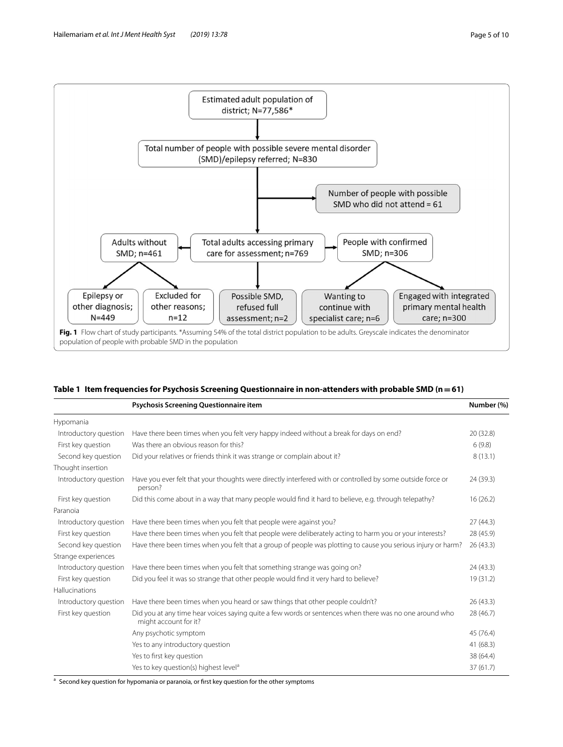

#### <span id="page-4-1"></span><span id="page-4-0"></span>**Table 1 Item frequencies for Psychosis Screening Questionnaire in non-attenders with probable SMD (n=61)**

|                       | Psychosis Screening Questionnaire item                                                                                          | Number (%) |
|-----------------------|---------------------------------------------------------------------------------------------------------------------------------|------------|
| Hypomania             |                                                                                                                                 |            |
| Introductory question | Have there been times when you felt very happy indeed without a break for days on end?                                          | 20 (32.8)  |
| First key question    | Was there an obvious reason for this?                                                                                           | 6(9.8)     |
| Second key question   | Did your relatives or friends think it was strange or complain about it?                                                        | 8(13.1)    |
| Thought insertion     |                                                                                                                                 |            |
| Introductory question | Have you ever felt that your thoughts were directly interfered with or controlled by some outside force or<br>person?           | 24 (39.3)  |
| First key question    | Did this come about in a way that many people would find it hard to believe, e.g. through telepathy?                            | 16(26.2)   |
| Paranoia              |                                                                                                                                 |            |
| Introductory question | Have there been times when you felt that people were against you?                                                               | 27(44.3)   |
| First key question    | Have there been times when you felt that people were deliberately acting to harm you or your interests?                         | 28 (45.9)  |
| Second key question   | Have there been times when you felt that a group of people was plotting to cause you serious injury or harm?                    | 26(43.3)   |
| Strange experiences   |                                                                                                                                 |            |
| Introductory question | Have there been times when you felt that something strange was going on?                                                        | 24(43.3)   |
| First key question    | Did you feel it was so strange that other people would find it very hard to believe?                                            | 19 (31.2)  |
| Hallucinations        |                                                                                                                                 |            |
| Introductory question | Have there been times when you heard or saw things that other people couldn't?                                                  | 26(43.3)   |
| First key question    | Did you at any time hear voices saying quite a few words or sentences when there was no one around who<br>might account for it? | 28 (46.7)  |
|                       | Any psychotic symptom                                                                                                           | 45 (76.4)  |
|                       | Yes to any introductory question                                                                                                | 41(68.3)   |
|                       | Yes to first key question                                                                                                       | 38 (64.4)  |
|                       | Yes to key question(s) highest level <sup>a</sup>                                                                               | 37(61.7)   |

<sup>a</sup> Second key question for hypomania or paranoia, or first key question for the other symptoms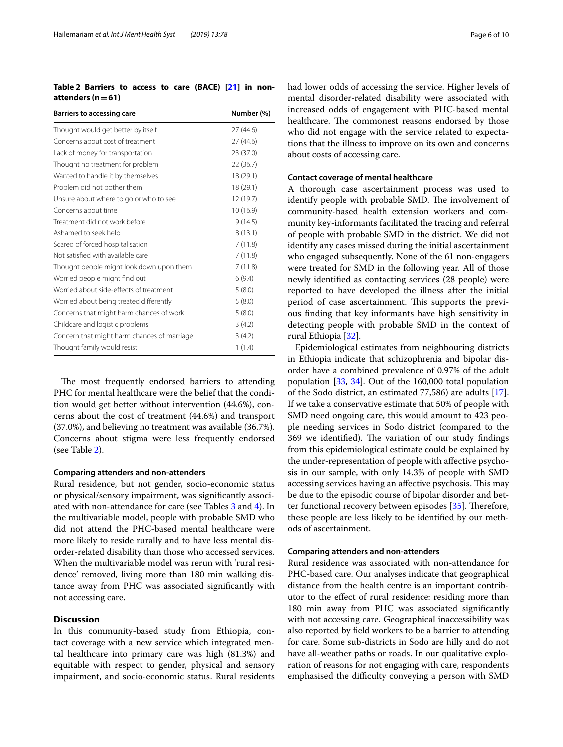#### <span id="page-5-0"></span>**Table 2 Barriers to access to care (BACE) [\[21](#page-9-19)] in nonattenders (n=61)**

| <b>Barriers to accessing care</b>           | Number (%) |
|---------------------------------------------|------------|
| Thought would get better by itself          | 27 (44.6)  |
| Concerns about cost of treatment            | 27 (44.6)  |
| Lack of money for transportation            | 23 (37.0)  |
| Thought no treatment for problem            | 22 (36.7)  |
| Wanted to handle it by themselves           | 18 (29.1)  |
| Problem did not bother them                 | 18 (29.1)  |
| Unsure about where to go or who to see      | 12 (19.7)  |
| Concerns about time                         | 10(16.9)   |
| Treatment did not work before               | 9(14.5)    |
| Ashamed to seek help                        | 8(13.1)    |
| Scared of forced hospitalisation            | 7(11.8)    |
| Not satisfied with available care           | 7(11.8)    |
| Thought people might look down upon them    | 7(11.8)    |
| Worried people might find out               | 6(9.4)     |
| Worried about side-effects of treatment     | 5(8.0)     |
| Worried about being treated differently     | 5(8.0)     |
| Concerns that might harm chances of work    | 5(8.0)     |
| Childcare and logistic problems             | 3(4.2)     |
| Concern that might harm chances of marriage | 3(4.2)     |
| Thought family would resist                 | 1(1.4)     |

The most frequently endorsed barriers to attending PHC for mental healthcare were the belief that the condition would get better without intervention (44.6%), concerns about the cost of treatment (44.6%) and transport (37.0%), and believing no treatment was available (36.7%). Concerns about stigma were less frequently endorsed (see Table [2\)](#page-5-0).

#### **Comparing attenders and non‑attenders**

Rural residence, but not gender, socio-economic status or physical/sensory impairment, was signifcantly associated with non-attendance for care (see Tables [3](#page-6-0) and [4](#page-7-0)). In the multivariable model, people with probable SMD who did not attend the PHC-based mental healthcare were more likely to reside rurally and to have less mental disorder-related disability than those who accessed services. When the multivariable model was rerun with 'rural residence' removed, living more than 180 min walking distance away from PHC was associated signifcantly with not accessing care.

#### **Discussion**

In this community-based study from Ethiopia, contact coverage with a new service which integrated mental healthcare into primary care was high (81.3%) and equitable with respect to gender, physical and sensory impairment, and socio-economic status. Rural residents had lower odds of accessing the service. Higher levels of mental disorder-related disability were associated with increased odds of engagement with PHC-based mental healthcare. The commonest reasons endorsed by those who did not engage with the service related to expectations that the illness to improve on its own and concerns about costs of accessing care.

#### **Contact coverage of mental healthcare**

A thorough case ascertainment process was used to identify people with probable SMD. The involvement of community-based health extension workers and community key-informants facilitated the tracing and referral of people with probable SMD in the district. We did not identify any cases missed during the initial ascertainment who engaged subsequently. None of the 61 non-engagers were treated for SMD in the following year. All of those newly identifed as contacting services (28 people) were reported to have developed the illness after the initial period of case ascertainment. This supports the previous fnding that key informants have high sensitivity in detecting people with probable SMD in the context of rural Ethiopia [[32](#page-9-30)].

Epidemiological estimates from neighbouring districts in Ethiopia indicate that schizophrenia and bipolar disorder have a combined prevalence of 0.97% of the adult population [[33,](#page-9-31) [34\]](#page-9-32). Out of the 160,000 total population of the Sodo district, an estimated 77,586) are adults [\[17](#page-9-15)]. If we take a conservative estimate that 50% of people with SMD need ongoing care, this would amount to 423 people needing services in Sodo district (compared to the 369 we identified). The variation of our study findings from this epidemiological estimate could be explained by the under-representation of people with afective psychosis in our sample, with only 14.3% of people with SMD accessing services having an affective psychosis. This may be due to the episodic course of bipolar disorder and better functional recovery between episodes  $[35]$  $[35]$ . Therefore, these people are less likely to be identifed by our methods of ascertainment.

#### **Comparing attenders and non‑attenders**

Rural residence was associated with non-attendance for PHC-based care. Our analyses indicate that geographical distance from the health centre is an important contributor to the efect of rural residence: residing more than 180 min away from PHC was associated signifcantly with not accessing care. Geographical inaccessibility was also reported by feld workers to be a barrier to attending for care. Some sub-districts in Sodo are hilly and do not have all-weather paths or roads. In our qualitative exploration of reasons for not engaging with care, respondents emphasised the difficulty conveying a person with SMD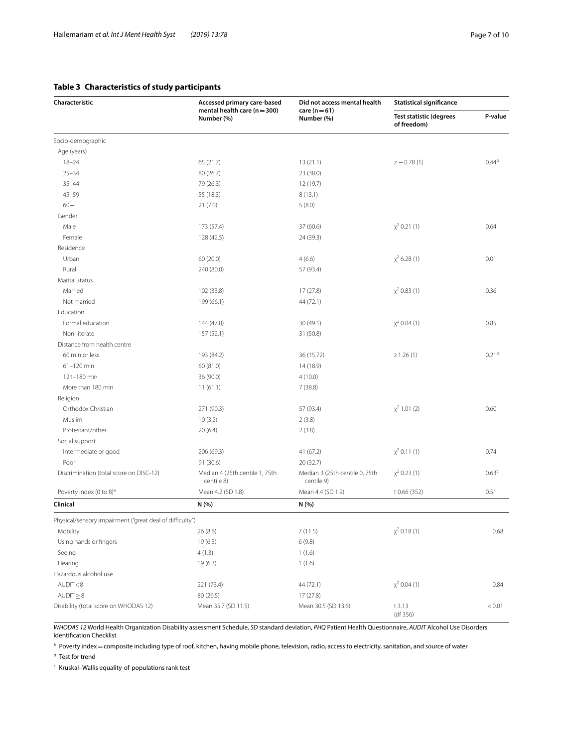### <span id="page-6-0"></span>**Table 3 Characteristics of study participants**

| Characteristic                                           | Accessed primary care-based                                                   | Did not access mental health                 | <b>Statistical significance</b>               |                   |
|----------------------------------------------------------|-------------------------------------------------------------------------------|----------------------------------------------|-----------------------------------------------|-------------------|
|                                                          | mental health care ( $n = 300$ )<br>care $(n=61)$<br>Number (%)<br>Number (%) |                                              | <b>Test statistic (degrees</b><br>of freedom) | P-value           |
| Socio-demographic                                        |                                                                               |                                              |                                               |                   |
| Age (years)                                              |                                                                               |                                              |                                               |                   |
| $18 - 24$                                                | 65 (21.7)                                                                     | 13(21.1)                                     | $z - 0.78(1)$                                 | $0.44^{b}$        |
| $25 - 34$                                                | 80 (26.7)                                                                     | 23 (38.0)                                    |                                               |                   |
| $35 - 44$                                                | 79 (26.3)                                                                     | 12 (19.7)                                    |                                               |                   |
| $45 - 59$                                                | 55 (18.3)                                                                     | 8(13.1)                                      |                                               |                   |
| $60+$                                                    | 21(7.0)                                                                       | 5(8.0)                                       |                                               |                   |
| Gender                                                   |                                                                               |                                              |                                               |                   |
| Male                                                     | 173 (57.4)                                                                    | 37 (60.6)                                    | $\chi^2$ 0.21 (1)                             | 0.64              |
| Female                                                   | 128 (42.5)                                                                    | 24 (39.3)                                    |                                               |                   |
| Residence                                                |                                                                               |                                              |                                               |                   |
| Urban                                                    | 60 (20.0)                                                                     | 4(6.6)                                       | $\chi^2$ 6.28 (1)                             | 0.01              |
| Rural                                                    | 240 (80.0)                                                                    | 57 (93.4)                                    |                                               |                   |
| Marital status                                           |                                                                               |                                              |                                               |                   |
| Married                                                  | 102 (33.8)                                                                    | 17(27.8)                                     | $\chi^2$ 0.83 (1)                             | 0.36              |
| Not married                                              | 199 (66.1)                                                                    | 44 (72.1)                                    |                                               |                   |
| Education                                                |                                                                               |                                              |                                               |                   |
| Formal education                                         | 144 (47.8)                                                                    | 30 (49.1)                                    | $\chi^2$ 0.04 (1)                             | 0.85              |
| Non-literate                                             | 157 (52.1)                                                                    | 31 (50.8)                                    |                                               |                   |
| Distance from health centre                              |                                                                               |                                              |                                               |                   |
| 60 min or less                                           | 193 (84.2)                                                                    | 36 (15.72)                                   | $z$ 1.26 (1)                                  | 0.21 <sup>b</sup> |
| 61-120 min                                               | 60 (81.0)                                                                     | 14 (18.9)                                    |                                               |                   |
| 121-180 min                                              | 36 (90.0)                                                                     | 4(10.0)                                      |                                               |                   |
| More than 180 min                                        | 11(61.1)                                                                      | 7(38.8)                                      |                                               |                   |
| Religion                                                 |                                                                               |                                              |                                               |                   |
| Orthodox Christian                                       | 271 (90.3)                                                                    | 57 (93.4)                                    | $\chi^2$ 1.01 (2)                             | 0.60              |
| Muslim                                                   | 10(3.2)                                                                       | 2(3.8)                                       |                                               |                   |
| Protestant/other                                         | 20(6.4)                                                                       | 2(3.8)                                       |                                               |                   |
| Social support                                           |                                                                               |                                              |                                               |                   |
| Intermediate or good                                     | 206 (69.3)                                                                    | 41 (67.2)                                    | $\chi^2$ 0.11 (1)                             | 0.74              |
| Poor                                                     | 91 (30.6)                                                                     | 20(32.7)                                     |                                               |                   |
| Discrimination (total score on DISC-12)                  | Median 4 (25th centile 1, 75th<br>centile 8)                                  | Median 3 (25th centile 0, 75th<br>centile 9) | $x^2$ 0.23 (1)                                | 0.63 <sup>c</sup> |
| Poverty index (0 to 8) <sup>a</sup>                      | Mean 4.2 (SD 1.8)                                                             | Mean 4.4 (SD 1.9)                            | t 0.66 (352)                                  | 0.51              |
| Clinical                                                 | N (%)                                                                         | N (%)                                        |                                               |                   |
| Physical/sensory impairment ("great deal of difficulty") |                                                                               |                                              |                                               |                   |
| Mobility                                                 | 26(8.6)                                                                       | 7(11.5)                                      | $\chi^2$ 0.18 (1)                             | 0.68              |
| Using hands or fingers                                   | 19(6.3)                                                                       | 6(9.8)                                       |                                               |                   |
| Seeing                                                   | 4(1.3)                                                                        | 1(1.6)                                       |                                               |                   |
| Hearing                                                  | 19(6.3)                                                                       | 1(1.6)                                       |                                               |                   |
| Hazardous alcohol use                                    |                                                                               |                                              |                                               |                   |
| AUDIT < 8                                                | 221 (73.4)                                                                    | 44 (72.1)                                    | $\chi^2$ 0.04 (1)                             | 0.84              |
| $AUDIT \geq 8$                                           | 80 (26.5)                                                                     | 17(27.8)                                     |                                               |                   |
| Disability (total score on WHODAS 12)                    | Mean 35.7 (SD 11.5)                                                           | Mean 30.5 (SD 13.6)                          | t 3.13<br>(df 356)                            | < 0.01            |

*WHODAS 12* World Health Organization Disability assessment Schedule, *SD* standard deviation, *PHQ* Patient Health Questionnaire, *AUDIT* Alcohol Use Disorders Identifcation Checklist

<sup>a</sup> Poverty index = composite including type of roof, kitchen, having mobile phone, television, radio, access to electricity, sanitation, and source of water

<sup>b</sup> Test for trend

 $c$  Kruskal–Wallis equality-of-populations rank test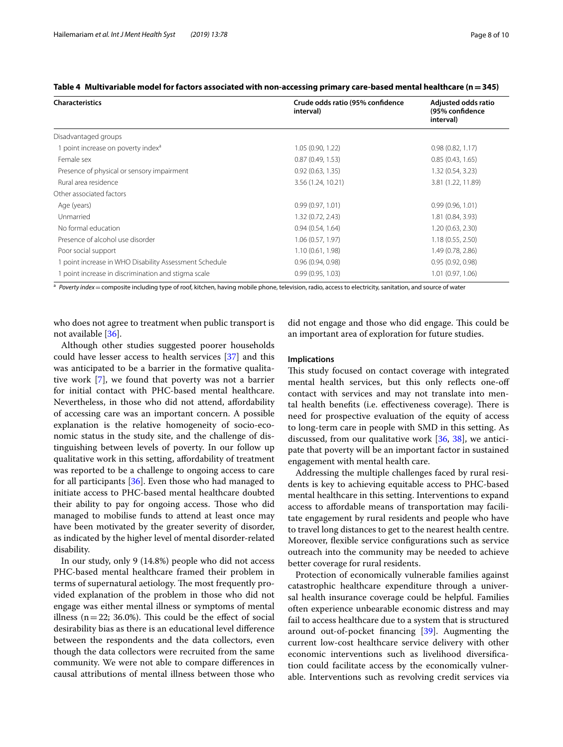| <b>Characteristics</b>                               | Crude odds ratio (95% confidence<br>interval) | Adjusted odds ratio<br>(95% confidence<br>interval) |
|------------------------------------------------------|-----------------------------------------------|-----------------------------------------------------|
| Disadvantaged groups                                 |                                               |                                                     |
| 1 point increase on poverty index <sup>a</sup>       | 1.05(0.90, 1.22)                              | 0.98(0.82, 1.17)                                    |
| Female sex                                           | 0.87(0.49, 1.53)                              | 0.85(0.43, 1.65)                                    |
| Presence of physical or sensory impairment           | 0.92(0.63, 1.35)                              | 1.32 (0.54, 3.23)                                   |
| Rural area residence                                 | 3.56 (1.24, 10.21)                            | 3.81 (1.22, 11.89)                                  |
| Other associated factors                             |                                               |                                                     |
| Age (years)                                          | 0.99(0.97, 1.01)                              | 0.99(0.96, 1.01)                                    |
| Unmarried                                            | 1.32 (0.72, 2.43)                             | 1.81 (0.84, 3.93)                                   |
| No formal education                                  | 0.94(0.54, 1.64)                              | 1.20(0.63, 2.30)                                    |
| Presence of alcohol use disorder                     | 1.06 (0.57, 1.97)                             | 1.18(0.55, 2.50)                                    |
| Poor social support                                  | 1.10(0.61, 1.98)                              | 1.49 (0.78, 2.86)                                   |
| point increase in WHO Disability Assessment Schedule | 0.96(0.94, 0.98)                              | 0.95(0.92, 0.98)                                    |
| point increase in discrimination and stigma scale    | 0.99(0.95, 1.03)                              | 1.01(0.97, 1.06)                                    |

#### <span id="page-7-0"></span>**Table 4 Multivariable model for factors associated with non-accessing primary care-based mental healthcare (n=345)**

<sup>a</sup> Poverty index = composite including type of roof, kitchen, having mobile phone, television, radio, access to electricity, sanitation, and source of water

who does not agree to treatment when public transport is not available [[36](#page-9-34)].

Although other studies suggested poorer households could have lesser access to health services [\[37](#page-9-35)] and this was anticipated to be a barrier in the formative qualitative work [\[7](#page-9-6)], we found that poverty was not a barrier for initial contact with PHC-based mental healthcare. Nevertheless, in those who did not attend, afordability of accessing care was an important concern. A possible explanation is the relative homogeneity of socio-economic status in the study site, and the challenge of distinguishing between levels of poverty. In our follow up qualitative work in this setting, afordability of treatment was reported to be a challenge to ongoing access to care for all participants [[36](#page-9-34)]. Even those who had managed to initiate access to PHC-based mental healthcare doubted their ability to pay for ongoing access. Those who did managed to mobilise funds to attend at least once may have been motivated by the greater severity of disorder, as indicated by the higher level of mental disorder-related disability.

In our study, only 9 (14.8%) people who did not access PHC-based mental healthcare framed their problem in terms of supernatural aetiology. The most frequently provided explanation of the problem in those who did not engage was either mental illness or symptoms of mental illness ( $n=22$ ; 36.0%). This could be the effect of social desirability bias as there is an educational level diference between the respondents and the data collectors, even though the data collectors were recruited from the same community. We were not able to compare diferences in causal attributions of mental illness between those who

did not engage and those who did engage. This could be an important area of exploration for future studies.

#### **Implications**

This study focused on contact coverage with integrated mental health services, but this only reflects one-off contact with services and may not translate into mental health benefits (i.e. effectiveness coverage). There is need for prospective evaluation of the equity of access to long-term care in people with SMD in this setting. As discussed, from our qualitative work [[36](#page-9-34), [38\]](#page-9-36), we anticipate that poverty will be an important factor in sustained engagement with mental health care.

Addressing the multiple challenges faced by rural residents is key to achieving equitable access to PHC-based mental healthcare in this setting. Interventions to expand access to afordable means of transportation may facilitate engagement by rural residents and people who have to travel long distances to get to the nearest health centre. Moreover, fexible service confgurations such as service outreach into the community may be needed to achieve better coverage for rural residents.

Protection of economically vulnerable families against catastrophic healthcare expenditure through a universal health insurance coverage could be helpful. Families often experience unbearable economic distress and may fail to access healthcare due to a system that is structured around out-of-pocket fnancing [\[39](#page-9-37)]. Augmenting the current low-cost healthcare service delivery with other economic interventions such as livelihood diversifcation could facilitate access by the economically vulnerable. Interventions such as revolving credit services via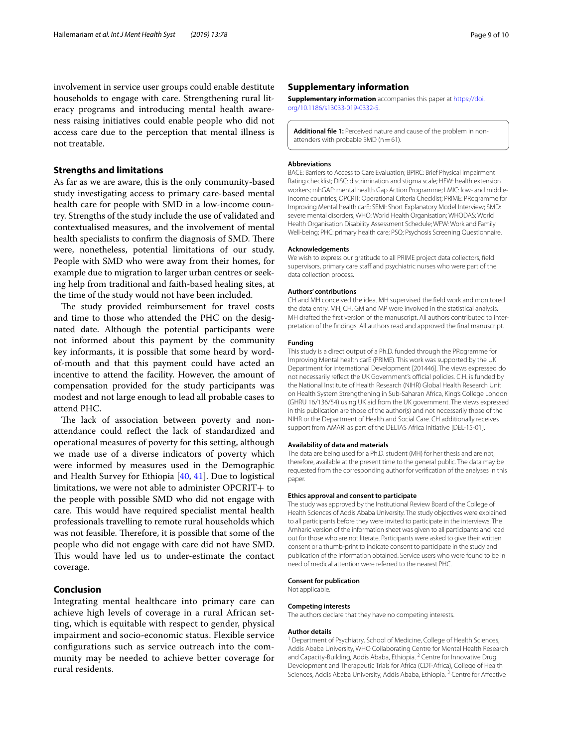involvement in service user groups could enable destitute households to engage with care. Strengthening rural literacy programs and introducing mental health awareness raising initiatives could enable people who did not access care due to the perception that mental illness is not treatable.

#### **Strengths and limitations**

As far as we are aware, this is the only community-based study investigating access to primary care-based mental health care for people with SMD in a low-income country. Strengths of the study include the use of validated and contextualised measures, and the involvement of mental health specialists to confirm the diagnosis of SMD. There were, nonetheless, potential limitations of our study. People with SMD who were away from their homes, for example due to migration to larger urban centres or seeking help from traditional and faith-based healing sites, at the time of the study would not have been included.

The study provided reimbursement for travel costs and time to those who attended the PHC on the designated date. Although the potential participants were not informed about this payment by the community key informants, it is possible that some heard by wordof-mouth and that this payment could have acted an incentive to attend the facility. However, the amount of compensation provided for the study participants was modest and not large enough to lead all probable cases to attend PHC.

The lack of association between poverty and nonattendance could refect the lack of standardized and operational measures of poverty for this setting, although we made use of a diverse indicators of poverty which were informed by measures used in the Demographic and Health Survey for Ethiopia [\[40](#page-9-38), [41](#page-9-39)]. Due to logistical limitations, we were not able to administer OPCRIT+ to the people with possible SMD who did not engage with care. This would have required specialist mental health professionals travelling to remote rural households which was not feasible. Therefore, it is possible that some of the people who did not engage with care did not have SMD. This would have led us to under-estimate the contact coverage.

#### **Conclusion**

Integrating mental healthcare into primary care can achieve high levels of coverage in a rural African setting, which is equitable with respect to gender, physical impairment and socio-economic status. Flexible service confgurations such as service outreach into the community may be needed to achieve better coverage for rural residents.

#### **Supplementary information**

**Supplementary information** accompanies this paper at [https://doi.](https://doi.org/10.1186/s13033-019-0332-5) [org/10.1186/s13033-019-0332-5.](https://doi.org/10.1186/s13033-019-0332-5)

<span id="page-8-0"></span>**Additional fle 1:** Perceived nature and cause of the problem in nonattenders with probable SMD ( $n=61$ ).

#### **Abbreviations**

BACE: Barriers to Access to Care Evaluation; BPIRC: Brief Physical Impairment Rating checklist; DISC: discrimination and stigma scale; HEW: health extension workers; mhGAP: mental health Gap Action Programme; LMIC: low- and middleincome countries; OPCRIT: Operational Criteria Checklist; PRIME: PRogramme for Improving Mental health carE; SEMI: Short Explanatory Model Interview; SMD: severe mental disorders; WHO: World Health Organisation; WHODAS: World Health Organisation Disability Assessment Schedule; WFW: Work and Family Well-being; PHC: primary health care; PSQ: Psychosis Screening Questionnaire.

#### **Acknowledgements**

We wish to express our gratitude to all PRIME project data collectors, feld supervisors, primary care staff and psychiatric nurses who were part of the data collection process.

#### **Authors' contributions**

CH and MH conceived the idea. MH supervised the feld work and monitored the data entry. MH, CH, GM and MP were involved in the statistical analysis. MH drafted the frst version of the manuscript. All authors contributed to interpretation of the fndings. All authors read and approved the fnal manuscript.

#### **Funding**

This study is a direct output of a Ph.D. funded through the PRogramme for Improving Mental health carE (PRIME). This work was supported by the UK Department for International Development [201446]. The views expressed do not necessarily reflect the UK Government's official policies. C.H. is funded by the National Institute of Health Research (NIHR) Global Health Research Unit on Health System Strengthening in Sub-Saharan Africa, King's College London (GHRU 16/136/54) using UK aid from the UK government. The views expressed in this publication are those of the author(s) and not necessarily those of the NIHR or the Department of Health and Social Care. CH additionally receives support from AMARI as part of the DELTAS Africa Initiative [DEL-15-01].

#### **Availability of data and materials**

The data are being used for a Ph.D. student (MH) for her thesis and are not, therefore, available at the present time to the general public. The data may be requested from the corresponding author for verifcation of the analyses in this paper.

#### **Ethics approval and consent to participate**

The study was approved by the Institutional Review Board of the College of Health Sciences of Addis Ababa University. The study objectives were explained to all participants before they were invited to participate in the interviews. The Amharic version of the information sheet was given to all participants and read out for those who are not literate. Participants were asked to give their written consent or a thumb-print to indicate consent to participate in the study and publication of the information obtained. Service users who were found to be in need of medical attention were referred to the nearest PHC.

#### **Consent for publication**

Not applicable.

#### **Competing interests**

The authors declare that they have no competing interests.

#### **Author details**

<sup>1</sup> Department of Psychiatry, School of Medicine, College of Health Sciences, Addis Ababa University, WHO Collaborating Centre for Mental Health Research and Capacity-Building, Addis Ababa, Ethiopia.<sup>2</sup> Centre for Innovative Drug Development and Therapeutic Trials for Africa (CDT-Africa), College of Health Sciences, Addis Ababa University, Addis Ababa, Ethiopia.<sup>3</sup> Centre for Affective